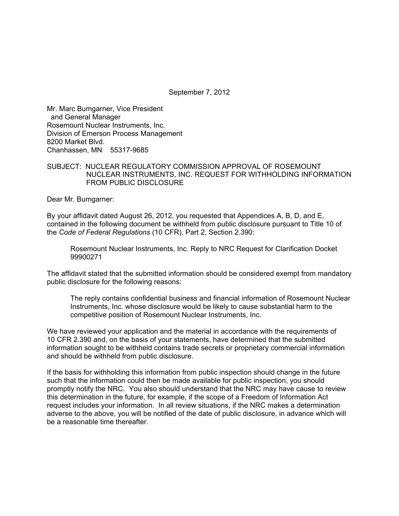September 7, 2012

Mr. Marc Bumgarner, Vice President and General Manager Rosemount Nuclear Instruments, Inc. Division of Emerson Process Management 8200 Market Blvd. Chanhassen, MN 55317-9685

## SUBJECT: NUCLEAR REGULATORY COMMISSION APPROVAL OF ROSEMOUNT NUCLEAR INSTRUMENTS, INC. REQUEST FOR WITHHOLDING INFORMATION FROM PUBLIC DISCLOSURE

Dear Mr. Bumgarner:

By your affidavit dated August 26, 2012, you requested that Appendices A, B, D, and E, contained in the following document be withheld from public disclosure pursuant to Title 10 of the *Code of Federal Regulations* (10 CFR), Part 2, Section 2.390:

Rosemount Nuclear Instruments, Inc. Reply to NRC Request for Clarification Docket 99900271

The affidavit stated that the submitted information should be considered exempt from mandatory public disclosure for the following reasons:

The reply contains confidential business and financial information of Rosemount Nuclear Instruments, Inc. whose disclosure would be likely to cause substantial harm to the competitive position of Rosemount Nuclear Instruments, Inc.

We have reviewed your application and the material in accordance with the requirements of 10 CFR 2.390 and, on the basis of your statements, have determined that the submitted information sought to be withheld contains trade secrets or proprietary commercial information and should be withheld from public disclosure.

If the basis for withholding this information from public inspection should change in the future such that the information could then be made available for public inspection, you should promptly notify the NRC. You also should understand that the NRC may have cause to review this determination in the future, for example, if the scope of a Freedom of Information Act request includes your information. In all review situations, if the NRC makes a determination adverse to the above, you will be notified of the date of public disclosure, in advance which will be a reasonable time thereafter.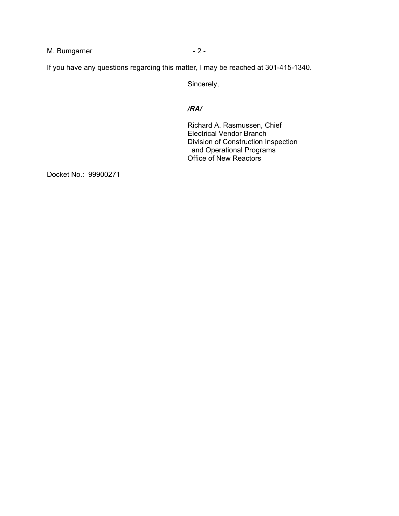M. Bumgarner  $-2$  -

If you have any questions regarding this matter, I may be reached at 301-415-1340.

Sincerely,

## */RA/*

Richard A. Rasmussen, Chief Electrical Vendor Branch Division of Construction Inspection and Operational Programs Office of New Reactors

Docket No.: 99900271